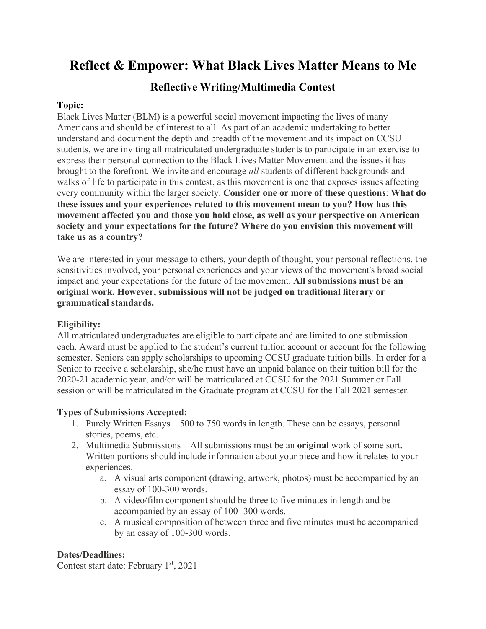# **Reflect & Empower: What Black Lives Matter Means to Me**

## **Reflective Writing/Multimedia Contest**

#### **Topic:**

Black Lives Matter (BLM) is a powerful social movement impacting the lives of many Americans and should be of interest to all. As part of an academic undertaking to better understand and document the depth and breadth of the movement and its impact on CCSU students, we are inviting all matriculated undergraduate students to participate in an exercise to express their personal connection to the Black Lives Matter Movement and the issues it has brought to the forefront. We invite and encourage *all* students of different backgrounds and walks of life to participate in this contest, as this movement is one that exposes issues affecting every community within the larger society. **Consider one or more of these questions**: **What do these issues and your experiences related to this movement mean to you? How has this movement affected you and those you hold close, as well as your perspective on American society and your expectations for the future? Where do you envision this movement will take us as a country?**

We are interested in your message to others, your depth of thought, your personal reflections, the sensitivities involved, your personal experiences and your views of the movement's broad social impact and your expectations for the future of the movement. **All submissions must be an original work. However, submissions will not be judged on traditional literary or grammatical standards.**

#### **Eligibility:**

All matriculated undergraduates are eligible to participate and are limited to one submission each. Award must be applied to the student's current tuition account or account for the following semester. Seniors can apply scholarships to upcoming CCSU graduate tuition bills. In order for a Senior to receive a scholarship, she/he must have an unpaid balance on their tuition bill for the 2020-21 academic year, and/or will be matriculated at CCSU for the 2021 Summer or Fall session or will be matriculated in the Graduate program at CCSU for the Fall 2021 semester.

#### **Types of Submissions Accepted:**

- 1. Purely Written Essays 500 to 750 words in length. These can be essays, personal stories, poems, etc.
- 2. Multimedia Submissions All submissions must be an **original** work of some sort. Written portions should include information about your piece and how it relates to your experiences.
	- a. A visual arts component (drawing, artwork, photos) must be accompanied by an essay of 100-300 words.
	- b. A video/film component should be three to five minutes in length and be accompanied by an essay of 100- 300 words.
	- c. A musical composition of between three and five minutes must be accompanied by an essay of 100-300 words.

#### **Dates/Deadlines:**

Contest start date: February 1<sup>st</sup>, 2021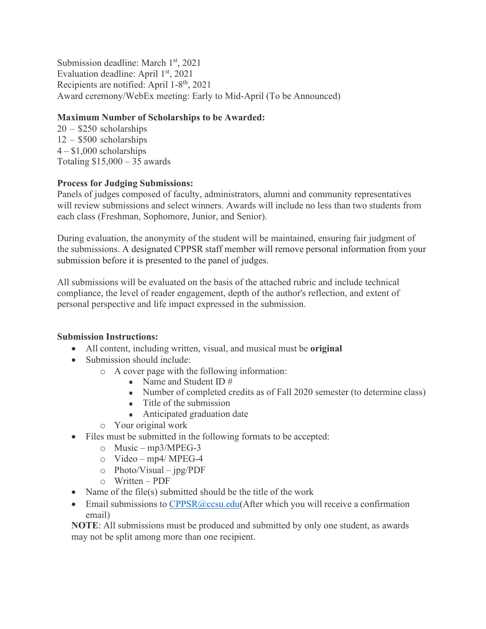Submission deadline: March 1<sup>st</sup>, 2021 Evaluation deadline: April  $1<sup>st</sup>$ , 2021 Recipients are notified: April 1-8th, 2021 Award ceremony/WebEx meeting: Early to Mid-April (To be Announced)

#### **Maximum Number of Scholarships to be Awarded:**

20 – \$250 scholarships 12 – \$500 scholarships  $4 - $1,000$  scholarships Totaling  $$15,000 - 35$  awards

#### **Process for Judging Submissions:**

Panels of judges composed of faculty, administrators, alumni and community representatives will review submissions and select winners. Awards will include no less than two students from each class (Freshman, Sophomore, Junior, and Senior).

During evaluation, the anonymity of the student will be maintained, ensuring fair judgment of the submissions. A designated CPPSR staff member will remove personal information from your submission before it is presented to the panel of judges.

All submissions will be evaluated on the basis of the attached rubric and include technical compliance, the level of reader engagement, depth of the author's reflection, and extent of personal perspective and life impact expressed in the submission.

#### **Submission Instructions:**

- All content, including written, visual, and musical must be **original**
- Submission should include:
	- o A cover page with the following information:
		- Name and Student ID #
		- Number of completed credits as of Fall 2020 semester (to determine class)
		- $\blacksquare$  Title of the submission
		- **Anticipated graduation date**
	- o Your original work
- Files must be submitted in the following formats to be accepted:
	- o Music mp3/MPEG-3
	- o Video mp4/ MPEG-4
	- o Photo/Visual jpg/PDF
	- o Written PDF
- Name of the file(s) submitted should be the title of the work
- Email submissions to  $CPPSR@ccsu.edu(After which you will receive a confirmation$  $CPPSR@ccsu.edu(After which you will receive a confirmation$ email)

**NOTE**: All submissions must be produced and submitted by only one student, as awards may not be split among more than one recipient.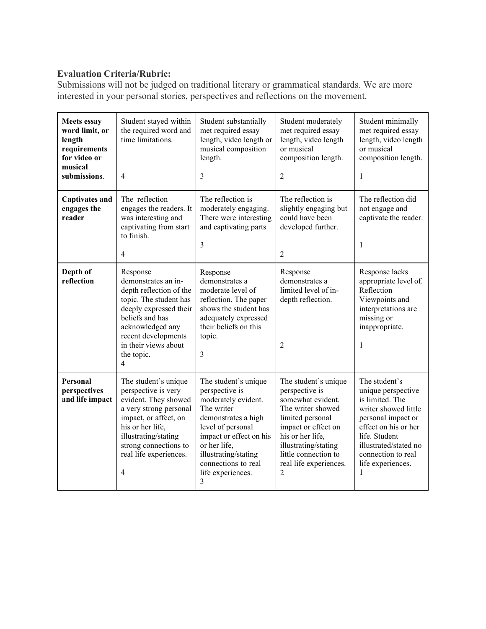### **Evaluation Criteria/Rubric:**

Submissions will not be judged on traditional literary or grammatical standards. We are more interested in your personal stories, perspectives and reflections on the movement.

| <b>Meets essay</b><br>word limit, or<br>length<br>requirements<br>for video or<br>musical<br>submissions. | Student stayed within<br>the required word and<br>time limitations.<br>$\overline{4}$                                                                                                                                                   | Student substantially<br>met required essay<br>length, video length or<br>musical composition<br>length.<br>3                                                                                                                               | Student moderately<br>met required essay<br>length, video length<br>or musical<br>composition length.<br>$\overline{c}$                                                                                                        | Student minimally<br>met required essay<br>length, video length<br>or musical<br>composition length.<br>1                                                                                                              |
|-----------------------------------------------------------------------------------------------------------|-----------------------------------------------------------------------------------------------------------------------------------------------------------------------------------------------------------------------------------------|---------------------------------------------------------------------------------------------------------------------------------------------------------------------------------------------------------------------------------------------|--------------------------------------------------------------------------------------------------------------------------------------------------------------------------------------------------------------------------------|------------------------------------------------------------------------------------------------------------------------------------------------------------------------------------------------------------------------|
| <b>Captivates and</b><br>engages the<br>reader                                                            | The reflection<br>engages the readers. It<br>was interesting and<br>captivating from start<br>to finish.<br>$\overline{4}$                                                                                                              | The reflection is<br>moderately engaging.<br>There were interesting<br>and captivating parts<br>3                                                                                                                                           | The reflection is<br>slightly engaging but<br>could have been<br>developed further.<br>$\overline{c}$                                                                                                                          | The reflection did<br>not engage and<br>captivate the reader.<br>1                                                                                                                                                     |
| Depth of<br>reflection                                                                                    | Response<br>demonstrates an in-<br>depth reflection of the<br>topic. The student has<br>deeply expressed their<br>beliefs and has<br>acknowledged any<br>recent developments<br>in their views about<br>the topic.<br>$\overline{4}$    | Response<br>demonstrates a<br>moderate level of<br>reflection. The paper<br>shows the student has<br>adequately expressed<br>their beliefs on this<br>topic.<br>3                                                                           | Response<br>demonstrates a<br>limited level of in-<br>depth reflection.<br>$\overline{c}$                                                                                                                                      | Response lacks<br>appropriate level of.<br>Reflection<br>Viewpoints and<br>interpretations are<br>missing or<br>inappropriate.<br>1                                                                                    |
| Personal<br>perspectives<br>and life impact                                                               | The student's unique<br>perspective is very<br>evident. They showed<br>a very strong personal<br>impact, or affect, on<br>his or her life,<br>illustrating/stating<br>strong connections to<br>real life experiences.<br>$\overline{4}$ | The student's unique<br>perspective is<br>moderately evident.<br>The writer<br>demonstrates a high<br>level of personal<br>impact or effect on his<br>or her life,<br>illustrating/stating<br>connections to real<br>life experiences.<br>3 | The student's unique<br>perspective is<br>somewhat evident.<br>The writer showed<br>limited personal<br>impact or effect on<br>his or her life,<br>illustrating/stating<br>little connection to<br>real life experiences.<br>2 | The student's<br>unique perspective<br>is limited. The<br>writer showed little<br>personal impact or<br>effect on his or her<br>life. Student<br>illustrated/stated no<br>connection to real<br>life experiences.<br>1 |